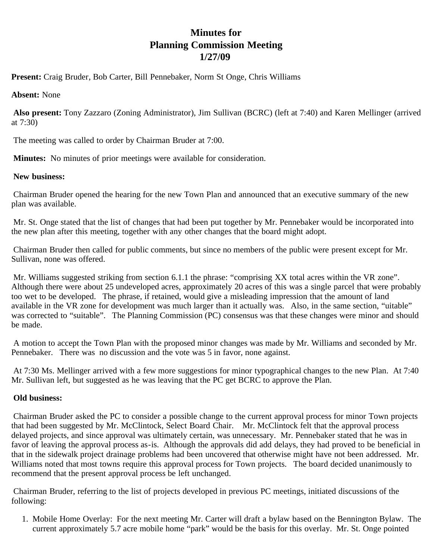## **Minutes for Planning Commission Meeting 1/27/09**

**Present:** Craig Bruder, Bob Carter, Bill Pennebaker, Norm St Onge, Chris Williams

## **Absent:** None

**Also present:** Tony Zazzaro (Zoning Administrator), Jim Sullivan (BCRC) (left at 7:40) and Karen Mellinger (arrived at 7:30)

The meeting was called to order by Chairman Bruder at 7:00.

**Minutes:** No minutes of prior meetings were available for consideration.

## **New business:**

Chairman Bruder opened the hearing for the new Town Plan and announced that an executive summary of the new plan was available.

Mr. St. Onge stated that the list of changes that had been put together by Mr. Pennebaker would be incorporated into the new plan after this meeting, together with any other changes that the board might adopt.

Chairman Bruder then called for public comments, but since no members of the public were present except for Mr. Sullivan, none was offered.

Mr. Williams suggested striking from section 6.1.1 the phrase: "comprising XX total acres within the VR zone". Although there were about 25 undeveloped acres, approximately 20 acres of this was a single parcel that were probably too wet to be developed. The phrase, if retained, would give a misleading impression that the amount of land available in the VR zone for development was much larger than it actually was. Also, in the same section, "uitable" was corrected to "suitable". The Planning Commission (PC) consensus was that these changes were minor and should be made.

A motion to accept the Town Plan with the proposed minor changes was made by Mr. Williams and seconded by Mr. Pennebaker. There was no discussion and the vote was 5 in favor, none against.

At 7:30 Ms. Mellinger arrived with a few more suggestions for minor typographical changes to the new Plan. At 7:40 Mr. Sullivan left, but suggested as he was leaving that the PC get BCRC to approve the Plan.

## **Old business:**

Chairman Bruder asked the PC to consider a possible change to the current approval process for minor Town projects that had been suggested by Mr. McClintock, Select Board Chair. Mr. McClintock felt that the approval process delayed projects, and since approval was ultimately certain, was unnecessary. Mr. Pennebaker stated that he was in favor of leaving the approval process as-is. Although the approvals did add delays, they had proved to be beneficial in that in the sidewalk project drainage problems had been uncovered that otherwise might have not been addressed. Mr. Williams noted that most towns require this approval process for Town projects. The board decided unanimously to recommend that the present approval process be left unchanged.

Chairman Bruder, referring to the list of projects developed in previous PC meetings, initiated discussions of the following:

1. Mobile Home Overlay: For the next meeting Mr. Carter will draft a bylaw based on the Bennington Bylaw. The current approximately 5.7 acre mobile home "park" would be the basis for this overlay. Mr. St. Onge pointed